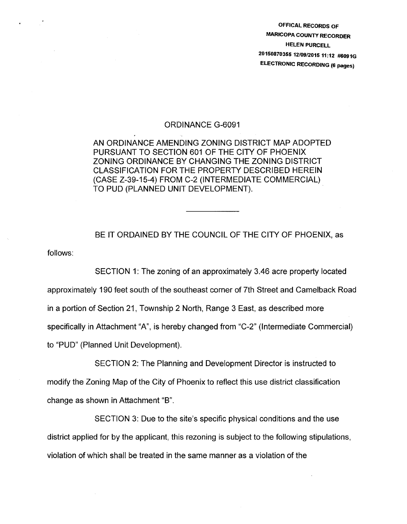OFFICAL RECORDS OF MARICOPA COUNTY RECORDER HELEN PURCELL 20150870355 12/09/2015 11:12 #6091G ELECTRONIC RECORDING (6 pages)

## ORDINANCE G-6091

AN ORDINANCE AMENDING ZONING DISTRICT MAP ADOPTED PURSUANT TO SECTION 601 OF THE CITY OF PHOENIX ZONING ORDINANCE BY CHANGING THE ZONING DISTRICT CLASSIFICATION FOR THE PROPERTY DESCRIBED HEREIN (CASE Z-39-15-4) FROM C-2 (INTERMEDIATE COMMERCIAL) TO PUD (PLANNED UNIT DEVELOPMENT).

follows: BE IT ORDAINED BY THE COUNCIL OF THE CITY OF PHOENIX, as

SECTION 1: The zoning of an approximately 3.46 acre property located approximately 190 feet south of the southeast corner of 7th Street and Camelback Road in a portion of Section 21, Township 2 North, Range 3 East, as described more specifically in Attachment "A", is hereby changed from "C-2" (Intermediate Commercial) to "PUD" (Planned Unit Development).

SECTION 2: The Planning and Development Director is instructed to modify the Zoning Map of the City of Phoenix to reflect this use district classification change as shown in Attachment "B".

SECTION 3: Due to the site's specific physical conditions and the use district applied for by the applicant, this rezoning is subject to the following stipulations, violation of which shall be treated in the same manner as a violation of the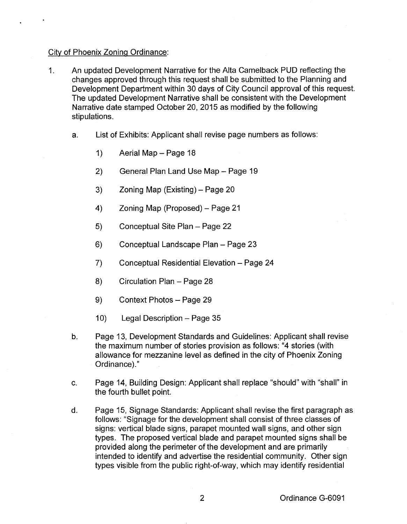## City of Phoenix Zoning Ordinance:

- 1. An updated Development Narrative for the Alta Camelback PUD reflecting the changes approved through this request shall be submitted to the Planning and Development Department within 30 days of City Council approval of this request. The updated Development Narrative shall be consistent with the Development Narrative date stamped October 20, 2015 as modified by the following stipulations.
	- a. List of Exhibits: Applicant shall revise page numbers as follows:
		- 1) Aerial Map  $-$  Page 18
		- 2) General Plan Land Use Map Page 19
		- 3) Zoning Map  $(Existing) Page 20$
		- 4) Zoning Map (Proposed) Page 21
		- 5) Conceptual Site Plan Page 22
		- 6) Conceptual Landscape Plan Page 23
		- 7) Conceptual Residential Elevation Page 24
		- 8) Circulation Plan Page 28
		- 9) Context Photos Page 29
		- 10) Legal Description  $-$  Page 35
	- b. Page 13, Development Standards and Guidelines: Applicant shall revise the maximum number of stories provision as follows: "4 stories (with allowance for mezzanine level as defined in the city of Phoenix Zoning Ordinance)."
	- c. Page 14, Building Design: Applicant shall replace "should" with "shall" in the fourth bullet point.
	- d. Page 15, Signage Standards: Applicant shall revise the first paragraph as follows: "Signage for the development shall consist of three classes of signs: vertical blade signs, parapet mounted wall signs, and other sign types. The proposed vertical blade and parapet mounted signs shall be provided along the perimeter of the development and are primarily intended to identify and advertise the residential community. Other sign types visible from the public right-of-way, which may identify residential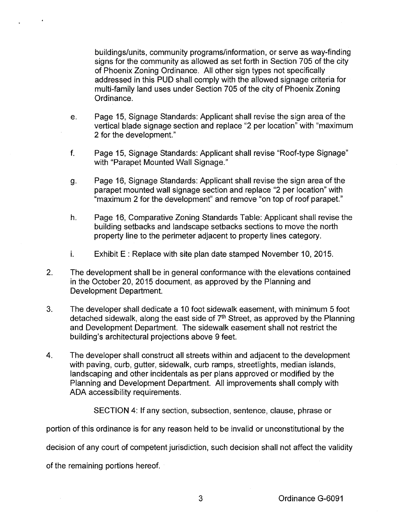buildings/units, community programs/information, or serve as way-finding signs for the community as allowed as set forth in Section 705 of the city of Phoenix Zoning Ordinance. All other sign types not specifically addressed in this PUD shall comply with the allowed signage criteria for multi-family land uses under Section 705 of the city of Phoenix Zoning Ordinance.

- e. Page 15, Signage Standards: Applicant shall revise the sign area of the vertical blade signage section and replace "2 per location" with "maximum 2 for the development."
- f. Page 15, Signage Standards: Applicant shall revise "Roof-type Signage" with "Parapet Mounted Wall Signage."
- g. Page 16, Signage Standards: Applicant shall revise the sign area of the parapet mounted wall signage section and replace "2 per location" with "maximum 2 for the development" and remove "on top of roof parapet."
- h. Page 16, Comparative Zoning Standards Table: Applicant shall revise the building setbacks and landscape setbacks sections to move the north property line to the perimeter adjacent to property lines category.
- i. Exhibit  $E$ : Replace with site plan date stamped November 10, 2015.
- 2. The development shall be in general conformance with the elevations contained in the October 20, 2015 document, as approved by the Planning and Development Department.
- 3. The developer shall dedicate a 10 foot sidewalk easement, with minimum 5 foot detached sidewalk, along the east side of  $7<sup>th</sup>$  Street, as approved by the Planning and Development Department. The sidewalk easement shall not restrict the building's architectural projections above 9 feet.
- 4. The developer shall construct all streets within and adjacent to the development with paving, curb, gutter, sidewalk, curb ramps, streetlights, median islands, landscaping and other incidentals as per plans approved or modified by the Planning and Development Department. All improvements shall comply with ADA accessibility requirements.

SECTION 4: If any section, subsection, sentence, clause, phrase or

portion of this ordinance is for any reason held to be invalid or unconstitutional by the

decision of any court of competent jurisdiction, such decision shall not affect the validity

of the remaining portions hereof.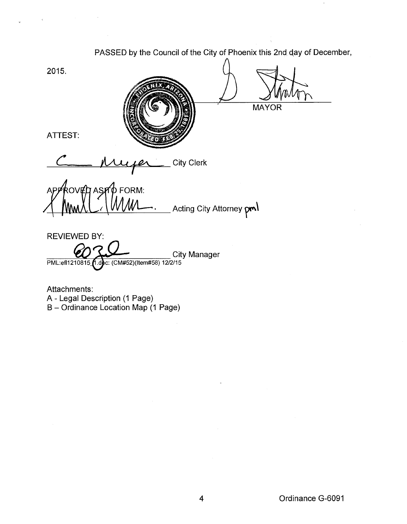PASSED by the Council of the City of Phoenix this 2nd day of December, 2015. **MAYOR** ATTEST: fer City Clerk koven asmo FORM:<br>MMAL / MMAL. Acting City Attorney pml REVIEWED BY: **City Manager** PML:ef1210815\_1.doc: (CM#52)(Item#58) 12/2/15

Attachments: A- Legal Description (1 Page) B- Ordinance Location Map (1 Page)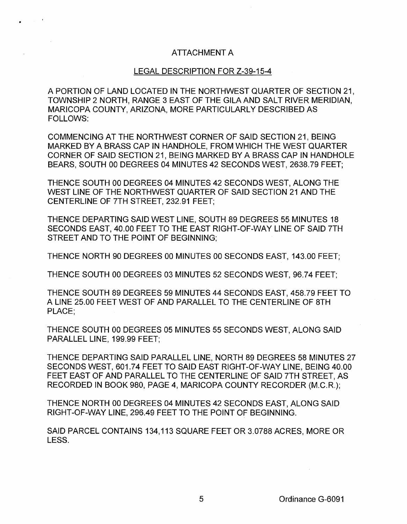## ATTACHMENT A

## LEGAL DESCRIPTION FOR Z-39-15-4

A PORTION OF LAND LOCATED IN THE NORTHWEST QUARTER OF SECTION 21, TOWNSHIP 2 NORTH, RANGE 3 EAST OF THE GILA AND SALT RIVER MERIDIAN, MARICOPA COUNTY, ARIZONA, MORE PARTICULARLY DESCRIBED AS FOLLOWS:

COMMENCING AT THE NORTHWEST CORNER OF SAID SECTION 21, BEING MARKED BY A BRASS CAP IN HANDHOLE, FROM WHICH THE WEST QUARTER CORNER OF SAID SECTION 21, BEING MARKED BY A BRASS CAP IN HANDHOLE BEARS, SOUTH 00 DEGREES 04 MINUTES 42 SECONDS WEST, 2638.79 FEET;

THENCE SOUTH 00 DEGREES 04 MINUTES 42 SECONDS WEST, ALONG THE WEST LINE OF THE NORTHWEST QUARTER OF SAID SECTION 21 AND THE CENTERLINE OF 7TH STREET, 232.91 FEET;

THENCE DEPARTING SAID WEST LINE, SOUTH 89 DEGREES 55 MINUTES 18 SECONDS EAST, 40.00 FEET TO THE EAST RIGHT-OF-WAY LINE OF SAID 7TH STREET AND TO THE POINT OF BEGINNING;

THENCE NORTH 90 DEGREES 00 MINUTES 00 SECONDS EAST, 143.00 FEET;

THENCE SOUTH 00 DEGREES 03 MINUTES 52 SECONDS WEST, 96.74 FEET;

THENCE SOUTH 89 DEGREES 59 MINUTES 44 SECONDS EAST, 458.79 FEET TO A LINE 25.00 FEET WEST OF AND PARALLEL TO THE CENTERLINE OF 8TH PLACE;

THENCE SOUTH 00 DEGREES 05 MINUTES 55 SECONDS WEST, ALONG SAID PARALLEL LINE, 199.99 FEET;

THENCE DEPARTING SAID PARALLEL LINE, NORTH 89 DEGREES 58 MINUTES 27 SECONDS WEST, 601.74 FEET TO SAID EAST RIGHT-OF-WAY LINE, BEING 40.00 FEET EAST OF AND PARALLEL TO THE CENTERLINE OF SAID 7TH STREET, AS RECORDED IN BOOK 980, PAGE 4, MARICOPA COUNTY RECORDER (M.C.R.);

THENCE NORTH 00 DEGREES 04 MINUTES 42 SECONDS EAST, ALONG SAID RIGHT-OF-WAY LINE, 296.49 FEET TO THE POINT OF BEGINNING.

SAID PARCEL CONTAINS 134,113 SQUARE FEET OR 3.0788 ACRES, MORE OR LESS.